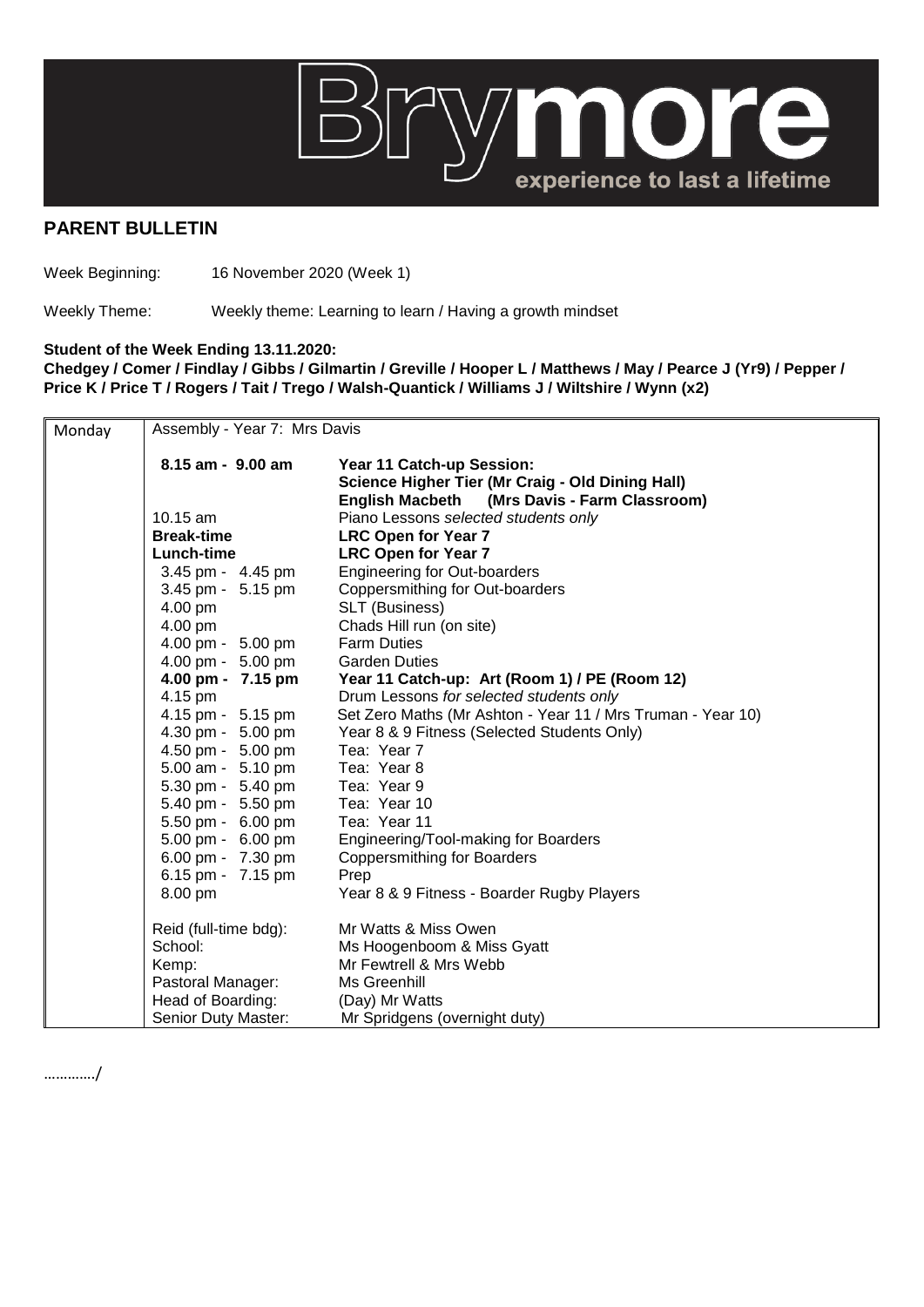

## **PARENT BULLETIN**

Week Beginning: 16 November 2020 (Week 1)

Weekly Theme: Weekly theme: Learning to learn / Having a growth mindset

## **Student of the Week Ending 13.11.2020:**

**Chedgey / Comer / Findlay / Gibbs / Gilmartin / Greville / Hooper L / Matthews / May / Pearce J (Yr9) / Pepper / Price K / Price T / Rogers / Tait / Trego / Walsh-Quantick / Williams J / Wiltshire / Wynn (x2)**

| Monday | Assembly - Year 7: Mrs Davis |                                                                                                                                         |  |
|--------|------------------------------|-----------------------------------------------------------------------------------------------------------------------------------------|--|
|        | $8.15$ am - $9.00$ am        | Year 11 Catch-up Session:<br>Science Higher Tier (Mr Craig - Old Dining Hall)<br>(Mrs Davis - Farm Classroom)<br><b>English Macbeth</b> |  |
|        | $10.15$ am                   | Piano Lessons selected students only                                                                                                    |  |
|        | <b>Break-time</b>            | <b>LRC Open for Year 7</b>                                                                                                              |  |
|        | Lunch-time                   | <b>LRC Open for Year 7</b>                                                                                                              |  |
|        | 3.45 pm - 4.45 pm            | <b>Engineering for Out-boarders</b>                                                                                                     |  |
|        | 3.45 pm - 5.15 pm            | Coppersmithing for Out-boarders                                                                                                         |  |
|        | 4.00 pm                      | SLT (Business)                                                                                                                          |  |
|        | 4.00 pm                      | Chads Hill run (on site)                                                                                                                |  |
|        | 4.00 pm - 5.00 pm            | <b>Farm Duties</b>                                                                                                                      |  |
|        | 4.00 pm - 5.00 pm            | <b>Garden Duties</b>                                                                                                                    |  |
|        | 4.00 pm - 7.15 pm            | Year 11 Catch-up: Art (Room 1) / PE (Room 12)                                                                                           |  |
|        | 4.15 pm                      | Drum Lessons for selected students only                                                                                                 |  |
|        | 4.15 pm - 5.15 pm            | Set Zero Maths (Mr Ashton - Year 11 / Mrs Truman - Year 10)                                                                             |  |
|        | 4.30 pm - 5.00 pm            | Year 8 & 9 Fitness (Selected Students Only)                                                                                             |  |
|        | 4.50 pm - 5.00 pm            | Tea: Year 7                                                                                                                             |  |
|        | 5.00 am - 5.10 pm            | Tea: Year 8                                                                                                                             |  |
|        | 5.30 pm - 5.40 pm            | Tea: Year 9                                                                                                                             |  |
|        | 5.40 pm - 5.50 pm            | Tea: Year 10                                                                                                                            |  |
|        | 5.50 pm - 6.00 pm            | Tea: Year 11                                                                                                                            |  |
|        | 5.00 pm - 6.00 pm            | Engineering/Tool-making for Boarders                                                                                                    |  |
|        | 6.00 pm - 7.30 pm            | <b>Coppersmithing for Boarders</b>                                                                                                      |  |
|        | 6.15 pm - 7.15 pm            | Prep                                                                                                                                    |  |
|        | 8.00 pm                      | Year 8 & 9 Fitness - Boarder Rugby Players                                                                                              |  |
|        | Reid (full-time bdg):        | Mr Watts & Miss Owen                                                                                                                    |  |
|        | School:                      | Ms Hoogenboom & Miss Gyatt                                                                                                              |  |
|        | Kemp:                        | Mr Fewtrell & Mrs Webb                                                                                                                  |  |
|        | Pastoral Manager:            | Ms Greenhill                                                                                                                            |  |
|        | Head of Boarding:            | (Day) Mr Watts                                                                                                                          |  |
|        | Senior Duty Master:          | Mr Spridgens (overnight duty)                                                                                                           |  |

…………./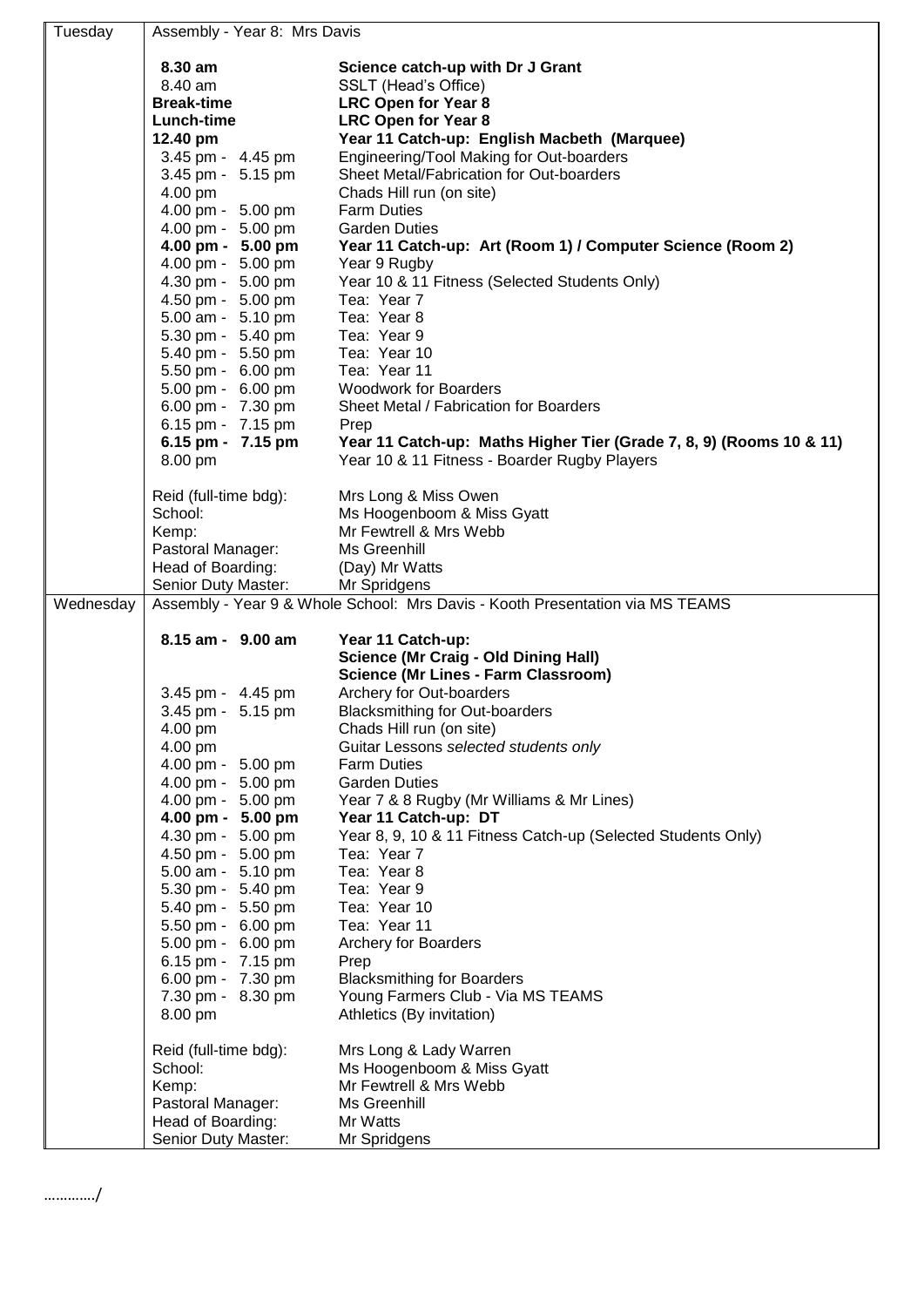| Tuesday   | Assembly - Year 8: Mrs Davis           |                                                                               |
|-----------|----------------------------------------|-------------------------------------------------------------------------------|
|           | 8.30 am                                | Science catch-up with Dr J Grant                                              |
|           | 8.40 am                                | SSLT (Head's Office)                                                          |
|           | <b>Break-time</b>                      | <b>LRC Open for Year 8</b>                                                    |
|           | <b>Lunch-time</b>                      | <b>LRC Open for Year 8</b>                                                    |
|           | 12.40 pm                               | Year 11 Catch-up: English Macbeth (Marquee)                                   |
|           | 3.45 pm - 4.45 pm                      | Engineering/Tool Making for Out-boarders                                      |
|           | 3.45 pm - 5.15 pm                      | Sheet Metal/Fabrication for Out-boarders                                      |
|           | 4.00 pm                                | Chads Hill run (on site)                                                      |
|           | 4.00 pm - 5.00 pm                      | <b>Farm Duties</b>                                                            |
|           | 4.00 pm - 5.00 pm                      | <b>Garden Duties</b>                                                          |
|           | 4.00 pm - 5.00 pm                      | Year 11 Catch-up: Art (Room 1) / Computer Science (Room 2)                    |
|           | 4.00 pm - 5.00 pm                      | Year 9 Rugby                                                                  |
|           | 4.30 pm - 5.00 pm                      | Year 10 & 11 Fitness (Selected Students Only)                                 |
|           | 4.50 pm - 5.00 pm                      | Tea: Year 7                                                                   |
|           | 5.00 am - 5.10 pm                      | Tea: Year 8                                                                   |
|           | 5.30 pm - 5.40 pm                      | Tea: Year 9                                                                   |
|           | 5.40 pm - 5.50 pm                      | Tea: Year 10                                                                  |
|           | 5.50 pm - 6.00 pm                      | Tea: Year 11                                                                  |
|           | 5.00 pm - 6.00 pm                      | <b>Woodwork for Boarders</b>                                                  |
|           | 6.00 pm - 7.30 pm                      | Sheet Metal / Fabrication for Boarders                                        |
|           | 6.15 pm - 7.15 pm                      | Prep                                                                          |
|           | 6.15 pm - 7.15 pm                      | Year 11 Catch-up: Maths Higher Tier (Grade 7, 8, 9) (Rooms 10 & 11)           |
|           | 8.00 pm                                | Year 10 & 11 Fitness - Boarder Rugby Players                                  |
|           | Reid (full-time bdg):                  | Mrs Long & Miss Owen                                                          |
|           | School:                                | Ms Hoogenboom & Miss Gyatt                                                    |
|           | Kemp:                                  | Mr Fewtrell & Mrs Webb                                                        |
|           | Pastoral Manager:                      | Ms Greenhill                                                                  |
|           | Head of Boarding:                      | (Day) Mr Watts                                                                |
|           | Senior Duty Master:                    | Mr Spridgens                                                                  |
| Wednesday |                                        | Assembly - Year 9 & Whole School: Mrs Davis - Kooth Presentation via MS TEAMS |
|           | 8.15 am - 9.00 am                      | Year 11 Catch-up:                                                             |
|           |                                        | <b>Science (Mr Craig - Old Dining Hall)</b>                                   |
|           |                                        | <b>Science (Mr Lines - Farm Classroom)</b>                                    |
|           | 3.45 pm - 4.45 pm                      | Archery for Out-boarders                                                      |
|           | 3.45 pm - 5.15 pm                      | <b>Blacksmithing for Out-boarders</b>                                         |
|           |                                        |                                                                               |
|           |                                        |                                                                               |
|           | 4.00 pm                                | Chads Hill run (on site)                                                      |
|           | 4.00 pm                                | Guitar Lessons selected students only                                         |
|           | 4.00 pm - 5.00 pm                      | <b>Farm Duties</b>                                                            |
|           | 4.00 pm - 5.00 pm                      | <b>Garden Duties</b>                                                          |
|           | 4.00 pm - 5.00 pm                      | Year 7 & 8 Rugby (Mr Williams & Mr Lines)<br>Year 11 Catch-up: DT             |
|           | 4.00 pm - 5.00 pm<br>4.30 pm - 5.00 pm | Year 8, 9, 10 & 11 Fitness Catch-up (Selected Students Only)                  |
|           | 4.50 pm - 5.00 pm                      | Tea: Year 7                                                                   |
|           | 5.00 am - 5.10 pm                      | Tea: Year 8                                                                   |
|           | 5.30 pm - 5.40 pm                      | Tea: Year 9                                                                   |
|           | 5.40 pm - 5.50 pm                      | Tea: Year 10                                                                  |
|           | 5.50 pm - 6.00 pm                      | Tea: Year 11                                                                  |
|           | 5.00 pm - 6.00 pm                      | <b>Archery for Boarders</b>                                                   |
|           | 6.15 pm - 7.15 pm                      | Prep                                                                          |
|           | 6.00 pm - 7.30 pm                      | <b>Blacksmithing for Boarders</b>                                             |
|           | 7.30 pm - 8.30 pm                      | Young Farmers Club - Via MS TEAMS                                             |
|           | 8.00 pm                                | Athletics (By invitation)                                                     |
|           | Reid (full-time bdg):                  | Mrs Long & Lady Warren                                                        |
|           | School:                                | Ms Hoogenboom & Miss Gyatt                                                    |
|           | Kemp:                                  | Mr Fewtrell & Mrs Webb                                                        |
|           | Pastoral Manager:                      | Ms Greenhill                                                                  |
|           | Head of Boarding:                      | Mr Watts                                                                      |

…………./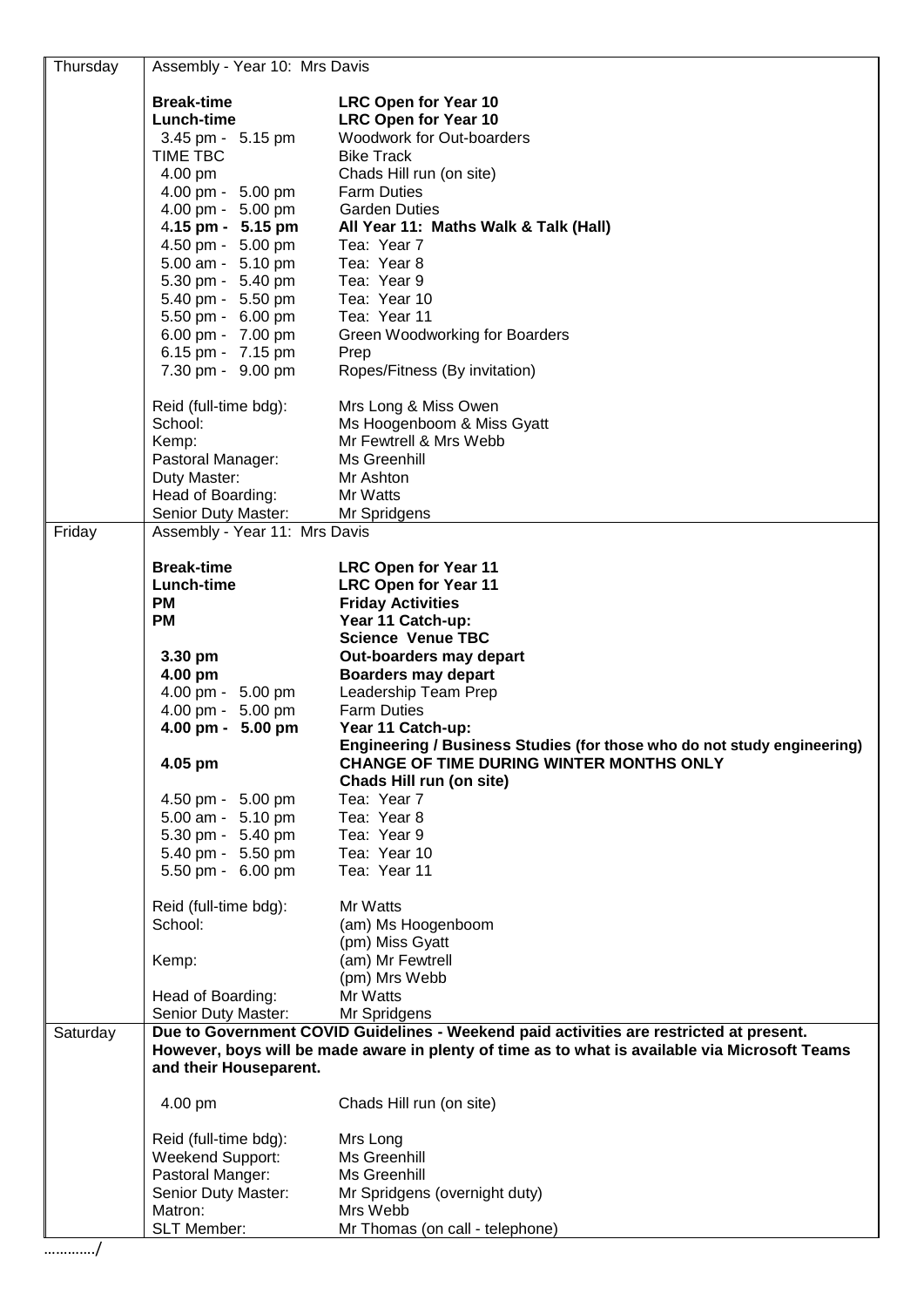| Thursday | Assembly - Year 10: Mrs Davis                                                                                                                                                             |                                                                         |  |
|----------|-------------------------------------------------------------------------------------------------------------------------------------------------------------------------------------------|-------------------------------------------------------------------------|--|
|          | <b>Break-time</b>                                                                                                                                                                         | <b>LRC Open for Year 10</b>                                             |  |
|          | Lunch-time                                                                                                                                                                                | <b>LRC Open for Year 10</b>                                             |  |
|          | 3.45 pm - 5.15 pm                                                                                                                                                                         | Woodwork for Out-boarders                                               |  |
|          | TIME TBC                                                                                                                                                                                  | <b>Bike Track</b>                                                       |  |
|          | 4.00 pm                                                                                                                                                                                   | Chads Hill run (on site)                                                |  |
|          | 4.00 pm - 5.00 pm                                                                                                                                                                         | <b>Farm Duties</b>                                                      |  |
|          | 4.00 pm - 5.00 pm                                                                                                                                                                         | <b>Garden Duties</b>                                                    |  |
|          | 4.15 pm - 5.15 pm                                                                                                                                                                         | All Year 11: Maths Walk & Talk (Hall)                                   |  |
|          | 4.50 pm - 5.00 pm                                                                                                                                                                         | Tea: Year 7                                                             |  |
|          | 5.00 am - 5.10 pm                                                                                                                                                                         | Tea: Year 8                                                             |  |
|          | 5.30 pm - 5.40 pm                                                                                                                                                                         | Tea: Year 9                                                             |  |
|          | 5.40 pm - 5.50 pm                                                                                                                                                                         | Tea: Year 10                                                            |  |
|          | 5.50 pm - 6.00 pm                                                                                                                                                                         | Tea: Year 11                                                            |  |
|          | 6.00 pm - 7.00 pm                                                                                                                                                                         | Green Woodworking for Boarders                                          |  |
|          | 6.15 pm - 7.15 pm                                                                                                                                                                         | Prep                                                                    |  |
|          | 7.30 pm - 9.00 pm                                                                                                                                                                         | Ropes/Fitness (By invitation)                                           |  |
|          | Reid (full-time bdg):                                                                                                                                                                     | Mrs Long & Miss Owen                                                    |  |
|          | School:                                                                                                                                                                                   | Ms Hoogenboom & Miss Gyatt                                              |  |
|          | Kemp:                                                                                                                                                                                     | Mr Fewtrell & Mrs Webb                                                  |  |
|          | Pastoral Manager:                                                                                                                                                                         | Ms Greenhill                                                            |  |
|          | Duty Master:                                                                                                                                                                              | Mr Ashton                                                               |  |
|          | Head of Boarding:                                                                                                                                                                         | Mr Watts                                                                |  |
|          | Senior Duty Master:                                                                                                                                                                       | Mr Spridgens                                                            |  |
| Friday   | Assembly - Year 11: Mrs Davis                                                                                                                                                             |                                                                         |  |
|          | <b>Break-time</b>                                                                                                                                                                         | <b>LRC Open for Year 11</b>                                             |  |
|          | Lunch-time                                                                                                                                                                                | <b>LRC Open for Year 11</b>                                             |  |
|          | <b>PM</b>                                                                                                                                                                                 | <b>Friday Activities</b>                                                |  |
|          | <b>PM</b>                                                                                                                                                                                 | Year 11 Catch-up:                                                       |  |
|          |                                                                                                                                                                                           | <b>Science Venue TBC</b>                                                |  |
|          | 3.30 pm                                                                                                                                                                                   | Out-boarders may depart                                                 |  |
|          | 4.00 pm                                                                                                                                                                                   | <b>Boarders may depart</b>                                              |  |
|          | 4.00 pm - 5.00 pm                                                                                                                                                                         | Leadership Team Prep                                                    |  |
|          | 4.00 pm - 5.00 pm                                                                                                                                                                         | <b>Farm Duties</b>                                                      |  |
|          | 4.00 pm - 5.00 pm                                                                                                                                                                         | Year 11 Catch-up:                                                       |  |
|          |                                                                                                                                                                                           | Engineering / Business Studies (for those who do not study engineering) |  |
|          | 4.05 pm                                                                                                                                                                                   | <b>CHANGE OF TIME DURING WINTER MONTHS ONLY</b>                         |  |
|          |                                                                                                                                                                                           | Chads Hill run (on site)                                                |  |
|          | 4.50 pm - 5.00 pm                                                                                                                                                                         | Tea: Year 7<br>Tea: Year 8                                              |  |
|          | 5.00 am - 5.10 pm<br>5.30 pm - 5.40 pm                                                                                                                                                    | Tea: Year 9                                                             |  |
|          | 5.40 pm - 5.50 pm                                                                                                                                                                         | Tea: Year 10                                                            |  |
|          | 5.50 pm - 6.00 pm                                                                                                                                                                         | Tea: Year 11                                                            |  |
|          |                                                                                                                                                                                           |                                                                         |  |
|          | Reid (full-time bdg):                                                                                                                                                                     | Mr Watts                                                                |  |
|          | School:                                                                                                                                                                                   | (am) Ms Hoogenboom                                                      |  |
|          |                                                                                                                                                                                           | (pm) Miss Gyatt                                                         |  |
|          | Kemp:                                                                                                                                                                                     | (am) Mr Fewtrell                                                        |  |
|          |                                                                                                                                                                                           | (pm) Mrs Webb                                                           |  |
|          | Head of Boarding:                                                                                                                                                                         | Mr Watts                                                                |  |
|          | Senior Duty Master:                                                                                                                                                                       | Mr Spridgens                                                            |  |
| Saturday | Due to Government COVID Guidelines - Weekend paid activities are restricted at present.<br>However, boys will be made aware in plenty of time as to what is available via Microsoft Teams |                                                                         |  |
|          | and their Houseparent.                                                                                                                                                                    |                                                                         |  |
|          |                                                                                                                                                                                           |                                                                         |  |
|          | 4.00 pm                                                                                                                                                                                   | Chads Hill run (on site)                                                |  |
|          |                                                                                                                                                                                           |                                                                         |  |
|          | Reid (full-time bdg):<br>Weekend Support:                                                                                                                                                 | Mrs Long<br>Ms Greenhill                                                |  |
|          | Pastoral Manger:                                                                                                                                                                          | Ms Greenhill                                                            |  |
|          | Senior Duty Master:                                                                                                                                                                       | Mr Spridgens (overnight duty)                                           |  |
|          | Matron:                                                                                                                                                                                   | Mrs Webb                                                                |  |
|          | SLT Member:                                                                                                                                                                               | Mr Thomas (on call - telephone)                                         |  |